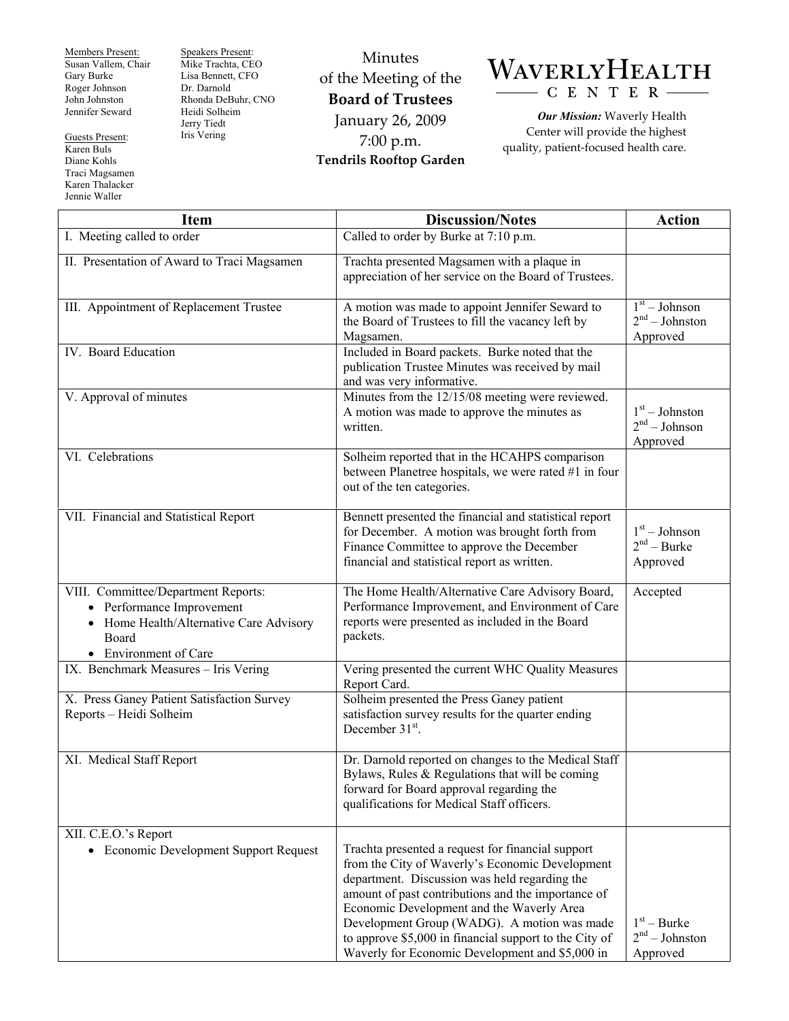Members Present: Susan Vallem, Chair Gary Burke Roger Johnson John Johnston Jennifer Seward

Guests Present: Karen Buls Diane Kohls Traci Magsamen Karen Thalacker Jennie Waller

Speakers Present: Mike Trachta, CEO Lisa Bennett, CFO Dr. Darnold Rhonda DeBuhr, CNO Heidi Solheim Jerry Tiedt Iris Vering

Minutes of the Meeting of the **Board of Trustees**  January 26, 2009 7:00 p.m. **Tendrils Rooftop Garden** 



*Our Mission:* Waverly Health Center will provide the highest quality, patient-focused health care.

| <b>Item</b>                                                                                                                                   | <b>Discussion/Notes</b>                                                                                                                                                                                                                                                                                                                                                                                              | <b>Action</b>                                                 |
|-----------------------------------------------------------------------------------------------------------------------------------------------|----------------------------------------------------------------------------------------------------------------------------------------------------------------------------------------------------------------------------------------------------------------------------------------------------------------------------------------------------------------------------------------------------------------------|---------------------------------------------------------------|
| I. Meeting called to order                                                                                                                    | Called to order by Burke at 7:10 p.m.                                                                                                                                                                                                                                                                                                                                                                                |                                                               |
| II. Presentation of Award to Traci Magsamen                                                                                                   | Trachta presented Magsamen with a plaque in<br>appreciation of her service on the Board of Trustees.                                                                                                                                                                                                                                                                                                                 |                                                               |
| III. Appointment of Replacement Trustee                                                                                                       | A motion was made to appoint Jennifer Seward to<br>the Board of Trustees to fill the vacancy left by<br>Magsamen.                                                                                                                                                                                                                                                                                                    | $\overline{1^{st}}$ - Johnson<br>$2nd - Johnston$<br>Approved |
| IV. Board Education                                                                                                                           | Included in Board packets. Burke noted that the<br>publication Trustee Minutes was received by mail<br>and was very informative.                                                                                                                                                                                                                                                                                     |                                                               |
| V. Approval of minutes                                                                                                                        | Minutes from the 12/15/08 meeting were reviewed.<br>A motion was made to approve the minutes as<br>written.                                                                                                                                                                                                                                                                                                          | $1st - Johnston$<br>$2nd - Johnson$<br>Approved               |
| VI. Celebrations                                                                                                                              | Solheim reported that in the HCAHPS comparison<br>between Planetree hospitals, we were rated #1 in four<br>out of the ten categories.                                                                                                                                                                                                                                                                                |                                                               |
| VII. Financial and Statistical Report                                                                                                         | Bennett presented the financial and statistical report<br>for December. A motion was brought forth from<br>Finance Committee to approve the December<br>financial and statistical report as written.                                                                                                                                                                                                                 | $1st - Johnson$<br>$2nd - Burke$<br>Approved                  |
| VIII. Committee/Department Reports:<br>• Performance Improvement<br>• Home Health/Alternative Care Advisory<br>Board<br>• Environment of Care | The Home Health/Alternative Care Advisory Board,<br>Performance Improvement, and Environment of Care<br>reports were presented as included in the Board<br>packets.                                                                                                                                                                                                                                                  | Accepted                                                      |
| IX. Benchmark Measures - Iris Vering                                                                                                          | Vering presented the current WHC Quality Measures<br>Report Card.                                                                                                                                                                                                                                                                                                                                                    |                                                               |
| X. Press Ganey Patient Satisfaction Survey<br>Reports - Heidi Solheim                                                                         | Solheim presented the Press Ganey patient<br>satisfaction survey results for the quarter ending<br>December $31st$ .                                                                                                                                                                                                                                                                                                 |                                                               |
| XI. Medical Staff Report                                                                                                                      | Dr. Darnold reported on changes to the Medical Staff<br>Bylaws, Rules & Regulations that will be coming<br>forward for Board approval regarding the<br>qualifications for Medical Staff officers.                                                                                                                                                                                                                    |                                                               |
| XII. C.E.O.'s Report<br>• Economic Development Support Request                                                                                | Trachta presented a request for financial support<br>from the City of Waverly's Economic Development<br>department. Discussion was held regarding the<br>amount of past contributions and the importance of<br>Economic Development and the Waverly Area<br>Development Group (WADG). A motion was made<br>to approve \$5,000 in financial support to the City of<br>Waverly for Economic Development and \$5,000 in | $1st - Burke$<br>$2nd - Johnston$<br>Approved                 |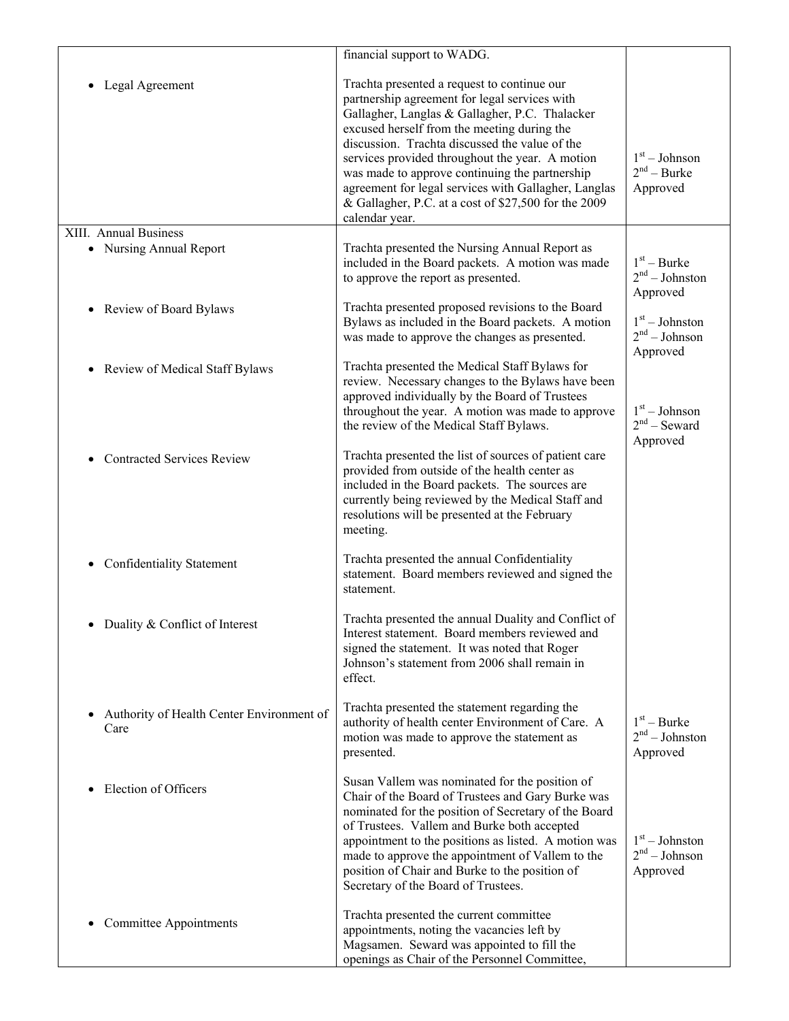|                                                   | financial support to WADG.                                                                                                                                                                                                                                                                                                                                                                                                                                                             |                                                 |
|---------------------------------------------------|----------------------------------------------------------------------------------------------------------------------------------------------------------------------------------------------------------------------------------------------------------------------------------------------------------------------------------------------------------------------------------------------------------------------------------------------------------------------------------------|-------------------------------------------------|
| Legal Agreement                                   | Trachta presented a request to continue our<br>partnership agreement for legal services with<br>Gallagher, Langlas & Gallagher, P.C. Thalacker<br>excused herself from the meeting during the<br>discussion. Trachta discussed the value of the<br>services provided throughout the year. A motion<br>was made to approve continuing the partnership<br>agreement for legal services with Gallagher, Langlas<br>& Gallagher, P.C. at a cost of \$27,500 for the 2009<br>calendar year. | $1st - Johnson$<br>$2nd - Burke$<br>Approved    |
| XIII. Annual Business                             |                                                                                                                                                                                                                                                                                                                                                                                                                                                                                        |                                                 |
| • Nursing Annual Report                           | Trachta presented the Nursing Annual Report as<br>included in the Board packets. A motion was made<br>to approve the report as presented.                                                                                                                                                                                                                                                                                                                                              | $1st - Burke$<br>$2nd - Johnston$<br>Approved   |
| Review of Board Bylaws                            | Trachta presented proposed revisions to the Board<br>Bylaws as included in the Board packets. A motion<br>was made to approve the changes as presented.                                                                                                                                                                                                                                                                                                                                | $1st - Johnston$<br>$2nd - Johnson$<br>Approved |
| Review of Medical Staff Bylaws                    | Trachta presented the Medical Staff Bylaws for<br>review. Necessary changes to the Bylaws have been<br>approved individually by the Board of Trustees<br>throughout the year. A motion was made to approve<br>the review of the Medical Staff Bylaws.                                                                                                                                                                                                                                  | $1st - Johnson$<br>$2nd$ – Seward<br>Approved   |
| <b>Contracted Services Review</b>                 | Trachta presented the list of sources of patient care<br>provided from outside of the health center as<br>included in the Board packets. The sources are<br>currently being reviewed by the Medical Staff and<br>resolutions will be presented at the February<br>meeting.                                                                                                                                                                                                             |                                                 |
| <b>Confidentiality Statement</b>                  | Trachta presented the annual Confidentiality<br>statement. Board members reviewed and signed the<br>statement.                                                                                                                                                                                                                                                                                                                                                                         |                                                 |
| Duality & Conflict of Interest                    | Trachta presented the annual Duality and Conflict of<br>Interest statement. Board members reviewed and<br>signed the statement. It was noted that Roger<br>Johnson's statement from 2006 shall remain in<br>effect.                                                                                                                                                                                                                                                                    |                                                 |
| Authority of Health Center Environment of<br>Care | Trachta presented the statement regarding the<br>authority of health center Environment of Care. A<br>motion was made to approve the statement as<br>presented.                                                                                                                                                                                                                                                                                                                        | $1st - Burke$<br>$2nd - Johnston$<br>Approved   |
| Election of Officers                              | Susan Vallem was nominated for the position of<br>Chair of the Board of Trustees and Gary Burke was<br>nominated for the position of Secretary of the Board<br>of Trustees. Vallem and Burke both accepted<br>appointment to the positions as listed. A motion was<br>made to approve the appointment of Vallem to the<br>position of Chair and Burke to the position of<br>Secretary of the Board of Trustees.                                                                        | $1st - Johnston$<br>$2nd - Johnson$<br>Approved |
| <b>Committee Appointments</b>                     | Trachta presented the current committee<br>appointments, noting the vacancies left by<br>Magsamen. Seward was appointed to fill the<br>openings as Chair of the Personnel Committee,                                                                                                                                                                                                                                                                                                   |                                                 |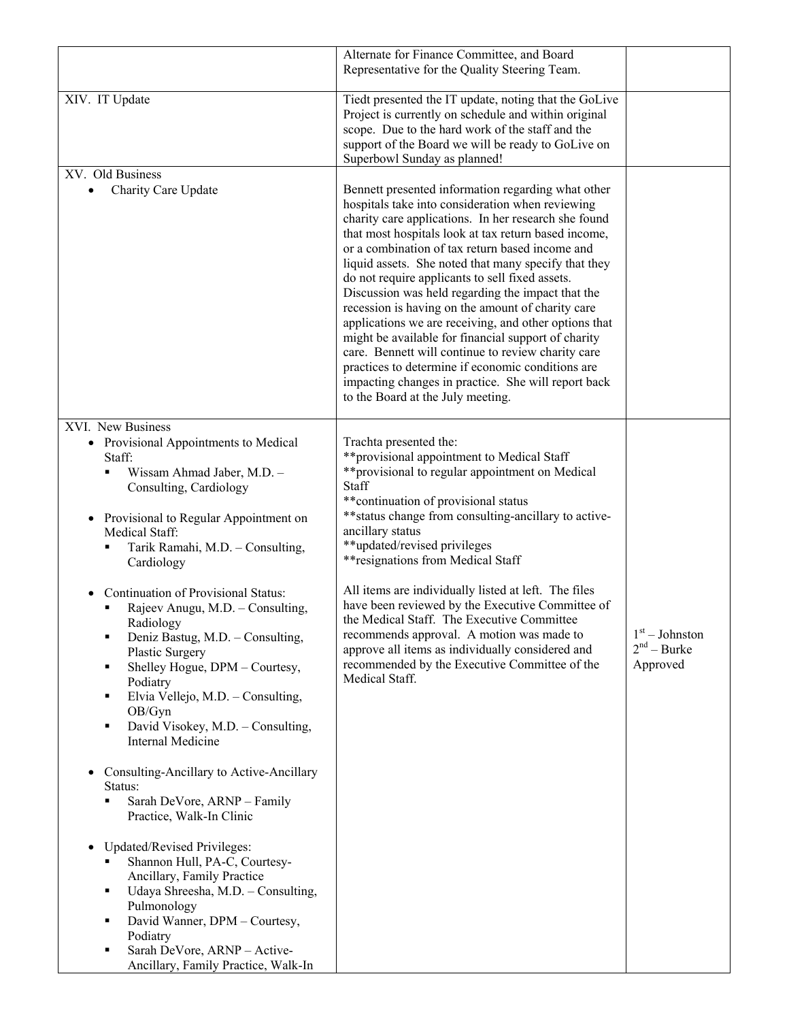|                                                                                                                                                                                                                                                                                                                                                                                                                                                                                                                                                                                                                                                                                                                                                                                                                                                                                                                                                                                                                                        | Alternate for Finance Committee, and Board<br>Representative for the Quality Steering Team.                                                                                                                                                                                                                                                                                                                                                                                                                                                                                                                                                                                                                                                                                                                           |                                               |
|----------------------------------------------------------------------------------------------------------------------------------------------------------------------------------------------------------------------------------------------------------------------------------------------------------------------------------------------------------------------------------------------------------------------------------------------------------------------------------------------------------------------------------------------------------------------------------------------------------------------------------------------------------------------------------------------------------------------------------------------------------------------------------------------------------------------------------------------------------------------------------------------------------------------------------------------------------------------------------------------------------------------------------------|-----------------------------------------------------------------------------------------------------------------------------------------------------------------------------------------------------------------------------------------------------------------------------------------------------------------------------------------------------------------------------------------------------------------------------------------------------------------------------------------------------------------------------------------------------------------------------------------------------------------------------------------------------------------------------------------------------------------------------------------------------------------------------------------------------------------------|-----------------------------------------------|
| XIV. IT Update                                                                                                                                                                                                                                                                                                                                                                                                                                                                                                                                                                                                                                                                                                                                                                                                                                                                                                                                                                                                                         | Tiedt presented the IT update, noting that the GoLive<br>Project is currently on schedule and within original<br>scope. Due to the hard work of the staff and the<br>support of the Board we will be ready to GoLive on<br>Superbowl Sunday as planned!                                                                                                                                                                                                                                                                                                                                                                                                                                                                                                                                                               |                                               |
| XV. Old Business<br>Charity Care Update<br>$\bullet$                                                                                                                                                                                                                                                                                                                                                                                                                                                                                                                                                                                                                                                                                                                                                                                                                                                                                                                                                                                   | Bennett presented information regarding what other<br>hospitals take into consideration when reviewing<br>charity care applications. In her research she found<br>that most hospitals look at tax return based income,<br>or a combination of tax return based income and<br>liquid assets. She noted that many specify that they<br>do not require applicants to sell fixed assets.<br>Discussion was held regarding the impact that the<br>recession is having on the amount of charity care<br>applications we are receiving, and other options that<br>might be available for financial support of charity<br>care. Bennett will continue to review charity care<br>practices to determine if economic conditions are<br>impacting changes in practice. She will report back<br>to the Board at the July meeting. |                                               |
| XVI. New Business<br>Provisional Appointments to Medical<br>$\bullet$<br>Staff:<br>Wissam Ahmad Jaber, M.D. -<br>Consulting, Cardiology<br>Provisional to Regular Appointment on<br>٠<br>Medical Staff:<br>Tarik Ramahi, M.D. - Consulting,<br>Cardiology<br>Continuation of Provisional Status:<br>Rajeev Anugu, M.D. - Consulting,<br>Radiology<br>Deniz Bastug, M.D. - Consulting,<br>٠<br>Plastic Surgery<br>Shelley Hogue, DPM - Courtesy,<br>٠<br>Podiatry<br>Elvia Vellejo, M.D. - Consulting,<br>٠<br>OB/Gyn<br>David Visokey, M.D. - Consulting,<br>٠<br><b>Internal Medicine</b><br>Consulting-Ancillary to Active-Ancillary<br>$\bullet$<br>Status:<br>Sarah DeVore, ARNP - Family<br>٠<br>Practice, Walk-In Clinic<br>Updated/Revised Privileges:<br>$\bullet$<br>Shannon Hull, PA-C, Courtesy-<br>٠<br>Ancillary, Family Practice<br>Udaya Shreesha, M.D. - Consulting,<br>٠<br>Pulmonology<br>David Wanner, DPM - Courtesy,<br>٠<br>Podiatry<br>Sarah DeVore, ARNP - Active-<br>٠<br>Ancillary, Family Practice, Walk-In | Trachta presented the:<br>** provisional appointment to Medical Staff<br>** provisional to regular appointment on Medical<br>Staff<br>** continuation of provisional status<br>** status change from consulting-ancillary to active-<br>ancillary status<br>**updated/revised privileges<br>** resignations from Medical Staff<br>All items are individually listed at left. The files<br>have been reviewed by the Executive Committee of<br>the Medical Staff. The Executive Committee<br>recommends approval. A motion was made to<br>approve all items as individually considered and<br>recommended by the Executive Committee of the<br>Medical Staff.                                                                                                                                                          | $1st - Johnston$<br>$2nd - Burke$<br>Approved |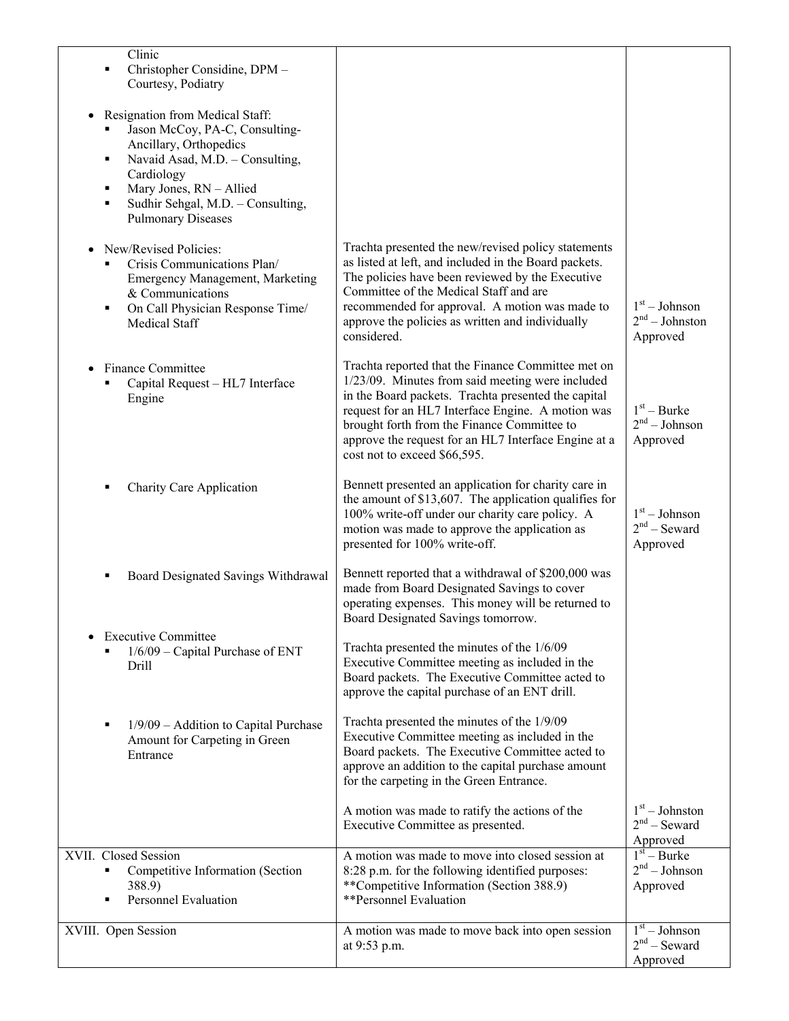| Clinic<br>Christopher Considine, DPM -<br>Courtesy, Podiatry                                                                                                                                                                                   |                                                                                                                                                                                                                                                                                                                                                           |                                                 |
|------------------------------------------------------------------------------------------------------------------------------------------------------------------------------------------------------------------------------------------------|-----------------------------------------------------------------------------------------------------------------------------------------------------------------------------------------------------------------------------------------------------------------------------------------------------------------------------------------------------------|-------------------------------------------------|
| Resignation from Medical Staff:<br>Jason McCoy, PA-C, Consulting-<br>Ancillary, Orthopedics<br>Navaid Asad, M.D. - Consulting,<br>٠<br>Cardiology<br>Mary Jones, RN - Allied<br>Sudhir Sehgal, M.D. - Consulting,<br><b>Pulmonary Diseases</b> |                                                                                                                                                                                                                                                                                                                                                           |                                                 |
| New/Revised Policies:<br>Crisis Communications Plan/<br>Emergency Management, Marketing<br>& Communications<br>On Call Physician Response Time/<br><b>Medical Staff</b>                                                                        | Trachta presented the new/revised policy statements<br>as listed at left, and included in the Board packets.<br>The policies have been reviewed by the Executive<br>Committee of the Medical Staff and are<br>recommended for approval. A motion was made to<br>approve the policies as written and individually<br>considered.                           | $1st - Johnson$<br>$2nd - Johnston$<br>Approved |
| <b>Finance Committee</b><br>Capital Request - HL7 Interface<br>Engine                                                                                                                                                                          | Trachta reported that the Finance Committee met on<br>1/23/09. Minutes from said meeting were included<br>in the Board packets. Trachta presented the capital<br>request for an HL7 Interface Engine. A motion was<br>brought forth from the Finance Committee to<br>approve the request for an HL7 Interface Engine at a<br>cost not to exceed \$66,595. | $1st - Burke$<br>$2nd - Johnson$<br>Approved    |
| <b>Charity Care Application</b>                                                                                                                                                                                                                | Bennett presented an application for charity care in<br>the amount of $$13,607$ . The application qualifies for<br>100% write-off under our charity care policy. A<br>motion was made to approve the application as<br>presented for 100% write-off.                                                                                                      | $1st - Johnson$<br>$2nd$ – Seward<br>Approved   |
| Board Designated Savings Withdrawal<br>٠                                                                                                                                                                                                       | Bennett reported that a withdrawal of \$200,000 was<br>made from Board Designated Savings to cover<br>operating expenses. This money will be returned to<br>Board Designated Savings tomorrow.                                                                                                                                                            |                                                 |
| <b>Executive Committee</b><br>1/6/09 - Capital Purchase of ENT<br>Drill                                                                                                                                                                        | Trachta presented the minutes of the 1/6/09<br>Executive Committee meeting as included in the<br>Board packets. The Executive Committee acted to<br>approve the capital purchase of an ENT drill.                                                                                                                                                         |                                                 |
| 1/9/09 - Addition to Capital Purchase<br>Amount for Carpeting in Green<br>Entrance                                                                                                                                                             | Trachta presented the minutes of the 1/9/09<br>Executive Committee meeting as included in the<br>Board packets. The Executive Committee acted to<br>approve an addition to the capital purchase amount<br>for the carpeting in the Green Entrance.                                                                                                        |                                                 |
|                                                                                                                                                                                                                                                | A motion was made to ratify the actions of the<br>Executive Committee as presented.                                                                                                                                                                                                                                                                       | $1st - Johnston$<br>$2nd$ – Seward<br>Approved  |
| XVII. Closed Session<br>Competitive Information (Section<br>٠<br>388.9)<br><b>Personnel Evaluation</b>                                                                                                                                         | A motion was made to move into closed session at<br>8:28 p.m. for the following identified purposes:<br>**Competitive Information (Section 388.9)<br>**Personnel Evaluation                                                                                                                                                                               | $1st - Burke$<br>$2nd - Johnson$<br>Approved    |
| XVIII. Open Session                                                                                                                                                                                                                            | A motion was made to move back into open session<br>at 9:53 p.m.                                                                                                                                                                                                                                                                                          | $1st - Johnson$<br>$2nd$ – Seward<br>Approved   |